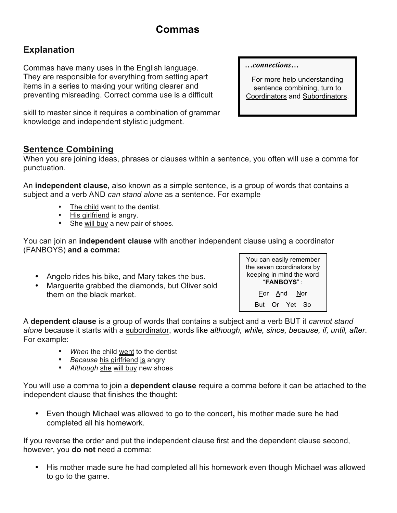# **Commas**

# **Explanation**

Commas have many uses in the English language. They are responsible for everything from setting apart items in a series to making your writing clearer and preventing misreading. Correct comma use is a difficult

skill to master since it requires a combination of grammar knowledge and independent stylistic judgment.

**Sentence Combining**

When you are joining ideas, phrases or clauses within a sentence, you often will use a comma for punctuation.

An **independent clause,** also known as a simple sentence, is a group of words that contains a subject and a verb AND *can stand alone* as a sentence. For example

- The child went to the dentist.
- His girlfriend is angry.
- She will buy a new pair of shoes.

You can join an **independent clause** with another independent clause using a coordinator (FANBOYS) **and a comma:** 

- Angelo rides his bike, and Mary takes the bus.
- Marguerite grabbed the diamonds, but Oliver sold them on the black market.



A **dependent clause** is a group of words that contains a subject and a verb BUT it *cannot stand alone* because it starts with a subordinator, words like *although, while, since, because, if, until, after*. For example:

- When the child went to the dentist
- *Because* his girlfriend is angry
- *Although* she will buy new shoes

You will use a comma to join a **dependent clause** require a comma before it can be attached to the independent clause that finishes the thought:

• Even though Michael was allowed to go to the concert**,** his mother made sure he had completed all his homework.

If you reverse the order and put the independent clause first and the dependent clause second, however, you **do not** need a comma:

• His mother made sure he had completed all his homework even though Michael was allowed to go to the game.

*…connections…*

For more help understanding sentence combining, turn to Coordinators and Subordinators.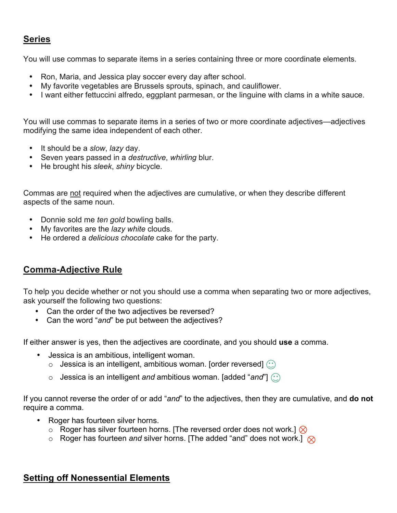### **Series**

You will use commas to separate items in a series containing three or more coordinate elements.

- Ron, Maria, and Jessica play soccer every day after school.
- My favorite vegetables are Brussels sprouts, spinach, and cauliflower.
- I want either fettuccini alfredo, eggplant parmesan, or the linguine with clams in a white sauce.

You will use commas to separate items in a series of two or more coordinate adjectives—adjectives modifying the same idea independent of each other.

- It should be a *slow*, *lazy* day.
- Seven years passed in a *destructive*, *whirling* blur.
- He brought his *sleek*, *shiny* bicycle.

Commas are not required when the adjectives are cumulative, or when they describe different aspects of the same noun.

- Donnie sold me *ten gold* bowling balls.
- My favorites are the *lazy white* clouds.
- He ordered a *delicious chocolate* cake for the party.

### **Comma-Adjective Rule**

To help you decide whether or not you should use a comma when separating two or more adjectives, ask yourself the following two questions:

- Can the order of the two adjectives be reversed?
- Can the word "*and*" be put between the adjectives?

If either answer is yes, then the adjectives are coordinate, and you should **use** a comma.

- Jessica is an ambitious, intelligent woman.
	- $\circ$  Jessica is an intelligent, ambitious woman. [order reversed]  $\circled{?}$
	- o Jessica is an intelligent *and* ambitious woman. [added "*and*"]

If you cannot reverse the order of or add "*and*" to the adjectives, then they are cumulative, and **do not** require a comma.

- Roger has fourteen silver horns.
	- $\circ$  Roger has silver fourteen horns. [The reversed order does not work.]  $\otimes$
	- $\circ$  Roger has fourteen *and* silver horns. [The added "and" does not work.]  $\otimes$

### **Setting off Nonessential Elements**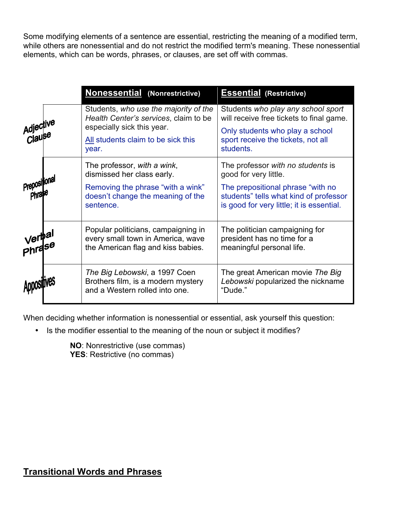Some modifying elements of a sentence are essential, restricting the meaning of a modified term, while others are nonessential and do not restrict the modified term's meaning. These nonessential elements, which can be words, phrases, or clauses, are set off with commas.

|                     | <b>Nonessential (Nonrestrictive)</b>                                                                                                                        | <b>Essential (Restrictive)</b>                                                                                                                                                         |
|---------------------|-------------------------------------------------------------------------------------------------------------------------------------------------------------|----------------------------------------------------------------------------------------------------------------------------------------------------------------------------------------|
| Adjective<br>Clause | Students, who use the majority of the<br>Health Center's services, claim to be<br>especially sick this year.<br>All students claim to be sick this<br>year. | Students who play any school sport<br>will receive free tickets to final game.<br>Only students who play a school<br>sport receive the tickets, not all<br>students.                   |
| Prepositional       | The professor, with a wink,<br>dismissed her class early.<br>Removing the phrase "with a wink"<br>doesn't change the meaning of the<br>sentence.            | The professor with no students is<br>good for very little.<br>The prepositional phrase "with no<br>students" tells what kind of professor<br>is good for very little; it is essential. |
| Verbal<br>Phrase    | Popular politicians, campaigning in<br>every small town in America, wave<br>the American flag and kiss babies.                                              | The politician campaigning for<br>president has no time for a<br>meaningful personal life.                                                                                             |
|                     | The Big Lebowski, a 1997 Coen<br>Brothers film, is a modern mystery<br>and a Western rolled into one.                                                       | The great American movie The Big<br>Lebowski popularized the nickname<br>"Dude."                                                                                                       |

When deciding whether information is nonessential or essential, ask yourself this question:

• Is the modifier essential to the meaning of the noun or subject it modifies?

**NO**: Nonrestrictive (use commas) **YES**: Restrictive (no commas)

# **Transitional Words and Phrases**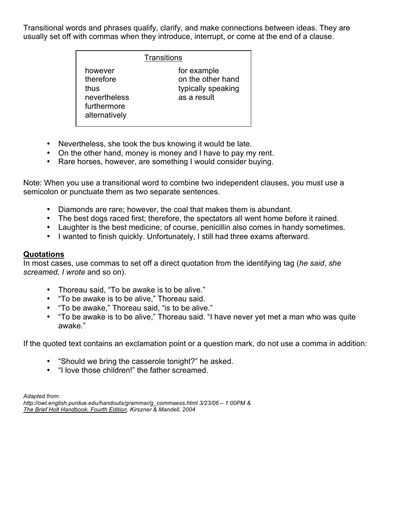Transitional words and phrases qualify, clarify, and make connections between ideas. They are usually set off with commas when they introduce, interrupt, or come at the end of a clause.

|  | <sup>-</sup> ransitions |  |  |
|--|-------------------------|--|--|
|  |                         |  |  |

| however<br>therefore<br>thus<br>nevertheless<br>furthermore<br>alternatively | for example<br>on the other hand<br>typically speaking<br>as a result |
|------------------------------------------------------------------------------|-----------------------------------------------------------------------|
|------------------------------------------------------------------------------|-----------------------------------------------------------------------|

- Nevertheless, she took the bus knowing it would be late.
- On the other hand, money is money and I have to pay my rent.
- Rare horses, however, are something I would consider buying.

Note: When you use a transitional word to combine two independent clauses, you must use a semicolon or punctuate them as two separate sentences.

- Diamonds are rare; however, the coal that makes them is abundant.
- The best dogs raced first; therefore, the spectators all went home before it rained.
- Laughter is the best medicine; of course, penicillin also comes in handy sometimes.
- I wanted to finish quickly. Unfortunately, I still had three exams afterward.

#### **Quotations**

In most cases, use commas to set off a direct quotation from the identifying tag (*he said*, *she screamed*, *I wrote* and so on).

- Thoreau said, "To be awake is to be alive."
- "To be awake is to be alive," Thoreau said.
- "To be awake," Thoreau said, "is to be alive."
- "To be awake is to be alive," Thoreau said. "I have never yet met a man who was quite awake."

If the quoted text contains an exclamation point or a question mark, do not use a comma in addition:

- "Should we bring the casserole tonight?" he asked.
- "I love those children!" the father screamed.

*Adapted from:*

*http://owl.english.purdue.edu/handouts/grammar/g\_commaess.html 3/23/06 – 1:00PM & The Brief Holt Handbook, Fourth Edition, Kirszner & Mandell, 2004*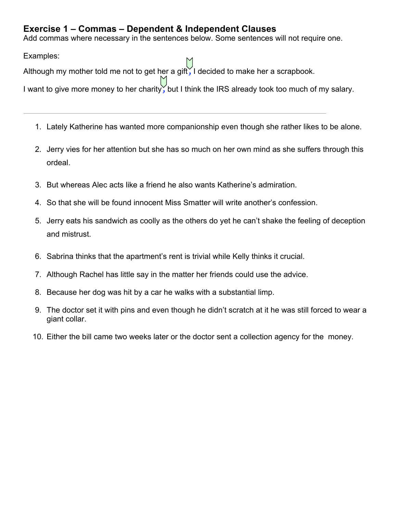### **Exercise 1 – Commas – Dependent & Independent Clauses**

Add commas where necessary in the sentences below. Some sentences will not require one.

Examples:

Although my mother told me not to get her a gift*,* I decided to make her a scrapbook.

I want to give more money to her charity*,* but I think the IRS already took too much of my salary.

- 1. Lately Katherine has wanted more companionship even though she rather likes to be alone.
- 2. Jerry vies for her attention but she has so much on her own mind as she suffers through this ordeal.
- 3. But whereas Alec acts like a friend he also wants Katherine's admiration.
- 4. So that she will be found innocent Miss Smatter will write another's confession.
- 5. Jerry eats his sandwich as coolly as the others do yet he can't shake the feeling of deception and mistrust.
- 6. Sabrina thinks that the apartment's rent is trivial while Kelly thinks it crucial.
- 7. Although Rachel has little say in the matter her friends could use the advice.
- 8. Because her dog was hit by a car he walks with a substantial limp.
- 9. The doctor set it with pins and even though he didn't scratch at it he was still forced to wear a giant collar.
- 10. Either the bill came two weeks later or the doctor sent a collection agency for the money.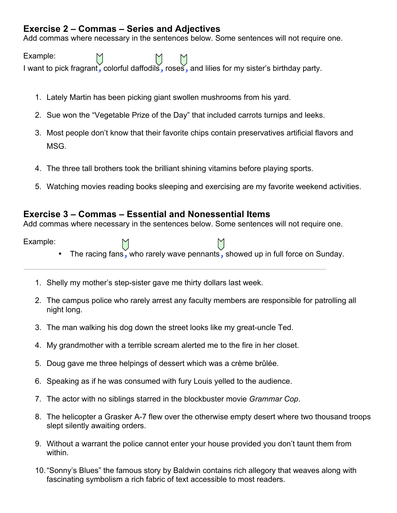### **Exercise 2 – Commas – Series and Adjectives**

Add commas where necessary in the sentences below. Some sentences will not require one.

Example: I want to pick fragrant*,* colorful daffodils*,* roses*,* and lilies for my sister's birthday party.

- 1. Lately Martin has been picking giant swollen mushrooms from his yard.
- 2. Sue won the "Vegetable Prize of the Day" that included carrots turnips and leeks.
- 3. Most people don't know that their favorite chips contain preservatives artificial flavors and MSG.
- 4. The three tall brothers took the brilliant shining vitamins before playing sports.
- 5. Watching movies reading books sleeping and exercising are my favorite weekend activities.

### **Exercise 3 – Commas – Essential and Nonessential Items**

Add commas where necessary in the sentences below. Some sentences will not require one.

Example:

- 
- The racing fans*,* who rarely wave pennants*,* showed up in full force on Sunday.
- 1. Shelly my mother's step-sister gave me thirty dollars last week.
- 2. The campus police who rarely arrest any faculty members are responsible for patrolling all night long.
- 3. The man walking his dog down the street looks like my great-uncle Ted.
- 4. My grandmother with a terrible scream alerted me to the fire in her closet.
- 5. Doug gave me three helpings of dessert which was a crème brûlée.
- 6. Speaking as if he was consumed with fury Louis yelled to the audience.
- 7. The actor with no siblings starred in the blockbuster movie *Grammar Cop*.
- 8. The helicopter a Grasker A-7 flew over the otherwise empty desert where two thousand troops slept silently awaiting orders.
- 9. Without a warrant the police cannot enter your house provided you don't taunt them from within.
- 10."Sonny's Blues" the famous story by Baldwin contains rich allegory that weaves along with fascinating symbolism a rich fabric of text accessible to most readers.